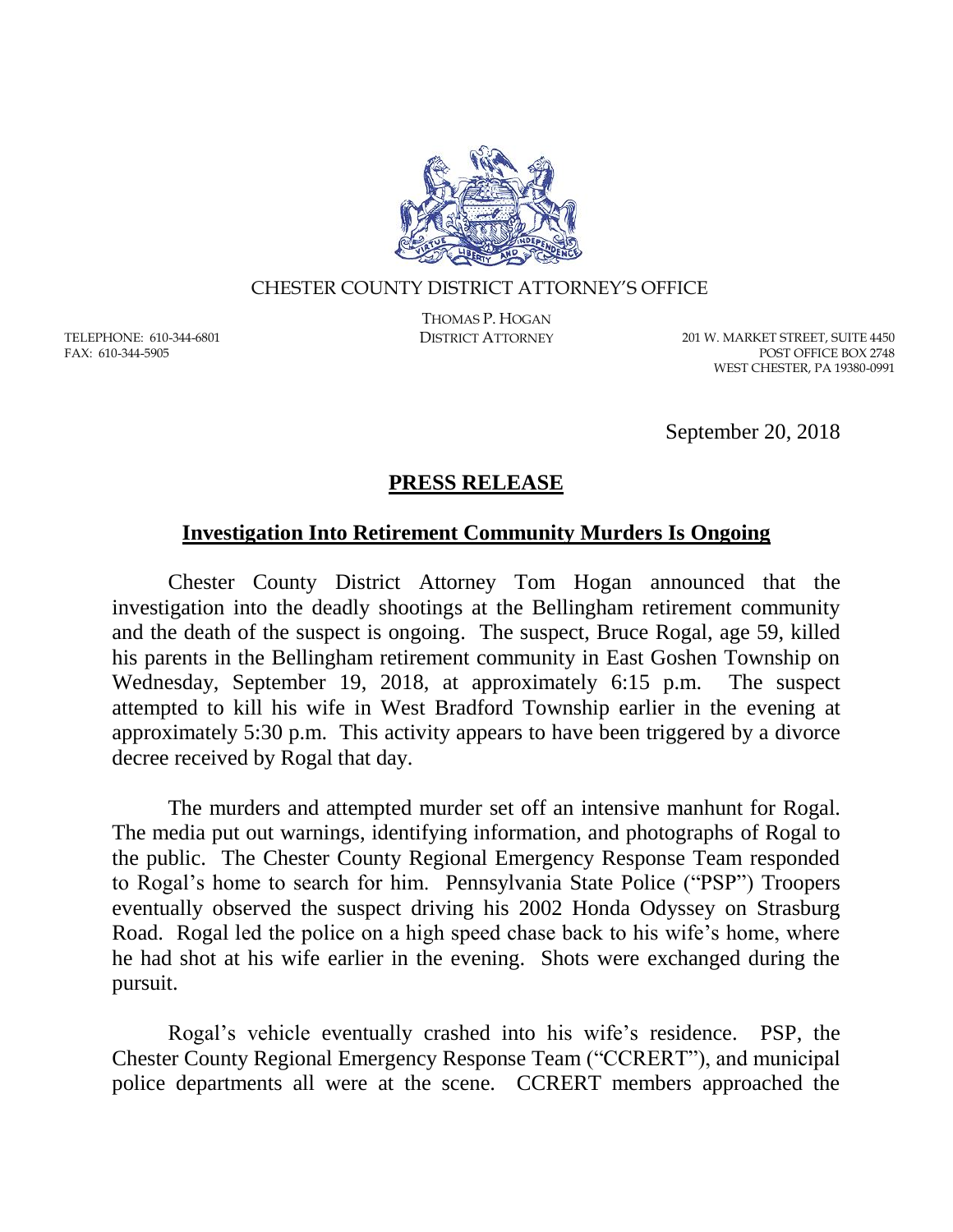

## CHESTER COUNTY DISTRICT ATTORNEY'S OFFICE

TELEPHONE: 610-344-6801 FAX: 610-344-5905

THOMAS P. HOGAN

DISTRICT ATTORNEY 201 W. MARKET STREET, SUITE 4450 POST OFFICE BOX 2748 WEST CHESTER, PA 19380-0991

September 20, 2018

## **PRESS RELEASE**

## **Investigation Into Retirement Community Murders Is Ongoing**

Chester County District Attorney Tom Hogan announced that the investigation into the deadly shootings at the Bellingham retirement community and the death of the suspect is ongoing. The suspect, Bruce Rogal, age 59, killed his parents in the Bellingham retirement community in East Goshen Township on Wednesday, September 19, 2018, at approximately 6:15 p.m. The suspect attempted to kill his wife in West Bradford Township earlier in the evening at approximately 5:30 p.m. This activity appears to have been triggered by a divorce decree received by Rogal that day.

The murders and attempted murder set off an intensive manhunt for Rogal. The media put out warnings, identifying information, and photographs of Rogal to the public. The Chester County Regional Emergency Response Team responded to Rogal's home to search for him. Pennsylvania State Police ("PSP") Troopers eventually observed the suspect driving his 2002 Honda Odyssey on Strasburg Road. Rogal led the police on a high speed chase back to his wife's home, where he had shot at his wife earlier in the evening. Shots were exchanged during the pursuit.

Rogal's vehicle eventually crashed into his wife's residence. PSP, the Chester County Regional Emergency Response Team ("CCRERT"), and municipal police departments all were at the scene. CCRERT members approached the